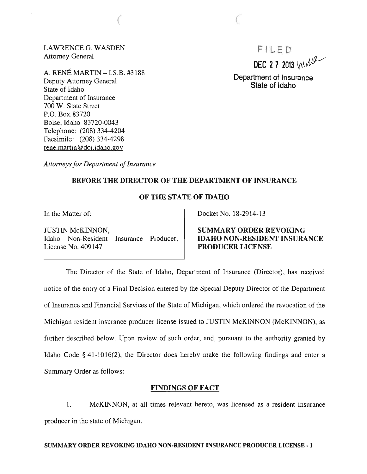LAWRENCE G. WASDEN Attorney General

 $\overline{\phantom{a}}$ 

A. RENE MARTIN -I.S.B. #3188 Deputy Attorney General State of Idaho Department of Insurance 700 W. State Street P.O. Box 83720 Boise, Idaho 83720-0043 Telephone: (208) 334-4204 Facsimile: (208) 334-4298 rene.martin@doi.idaho.gov

F I LED DEC 27 2013  $W^{\text{eff}}$ 

Department of Insurance State of Idaho

*Attorneys for Department of Insurance* 

# BEFORE THE DIRECTOR OF THE DEPARTMENT OF INSURANCE

# OF THE STATE OF IDAHO

In the Matter of:

JUSTIN McKINNON, Idaho Non-Resident Insurance Producer, License No. 409147

Docket No. 18-2914-13

SUMMARY ORDER REVOKING IDAHO NON-RESIDENT INSURANCE PRODUCER LICENSE

The Director of the State of Idaho, Department of Insurance (Director), has received notice of the entry of a Final Decision entered by the Special Deputy Director of the Department of Insurance and Financial Services of the State of Michigan, which ordered the revocation of the Michigan resident insurance producer license issued to JUSTIN McKINNON (McKINNON), as further described below. Upon review of such order, and, pursuant to the authority granted by Idaho Code § 41-1016(2), the Director does hereby make the following findings and enter a Summary Order as follows:

## FINDINGS OF FACT

1. McKINNON, at all times relevant hereto, was licensed as a resident insurance producer in the state of Michigan.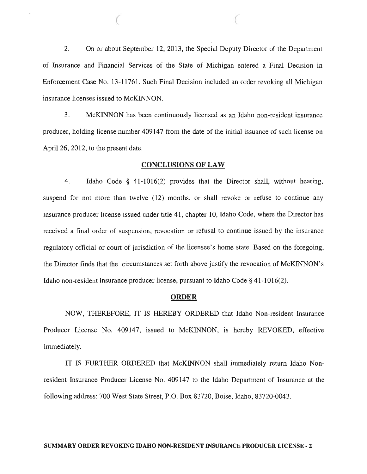2. On or about September 12, 2013, the Special Deputy Director of the Department of Insurance and Financial Services of the State of Michigan entered a Final Decision in Enforcement Case No. 13-1176l. Such Final Decision included an order revoking all Michigan insurance licenses issued to McKINNON.

 $($ 

3. McKINNON has been continuously licensed as an Idaho non-resident insurance producer, holding license number 409147 from the date of the initial issuance of such license on April 26, 2012, to the present date.

#### CONCLUSIONS OF LAW

4. Idaho Code § 41-1016(2) provides that the Director shall, without hearing, suspend for not more than twelve (12) months, or shall revoke or refuse to continue any insurance producer license issued under title 41, chapter 10, Idaho Code, where the Director has received a final order of suspension, revocation or refusal to continue issued by the insurance regulatory official or court of jurisdiction of the licensee's home state. Based on the foregoing, the Director finds that the circumstances set forth above justify the revocation of McKINNON's Idaho non-resident insurance producer license, pursuant to Idaho Code § 41-1016(2).

#### ORDER

NOW, THEREFORE, IT IS HEREBY ORDERED that Idaho Non-resident Insurance Producer License No. 409147, issued to McKINNON, is hereby REVOKED, effective immediately.

IT IS FURTHER ORDERED that McKINNON shall immediately return Idaho Nonresident Insurance Producer License No. 409147 to the Idaho Department of Insurance at the following address: 700 West State Street, P.O. Box 83720, Boise, Idaho, 83720-0043.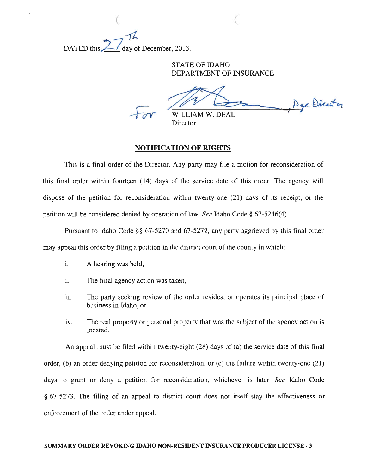~ DATED this  $\angle$  day of December, 2013.

> STATE OF IDAHO DEPARTMENT OF INSURANCE

Dep Director M W. DEAL

Director

 $($ 

## NOTIFICATION OF RIGHTS

This is a final order of the Director. Any party may file a motion for reconsideration of this final order within fourteen (14) days of the service date of this order. The agency will dispose of the petition for reconsideration within twenty-one (21) days of its receipt, or the petition will be considered denied by operation of law. *See* Idaho Code § 67-5246(4).

Pursuant to Idaho Code §§ 67-5270 and 67-5272, any party aggrieved by this final order may appeal this order by filing a petition in the district court of the county in which:

- i. A hearing was held,
- ii. The final agency action was taken,
- iii. The party seeking review of the order resides, or operates its principal place of business in Idaho, or
- iv. The real property or personal property that was the subject of the agency action is located.

An appeal must be filed within twenty-eight (28) days of (a) the service date of this final order, (b) an order denying petition for reconsideration, or (c) the failure within twenty-one (21) days to grant or deny a petition for reconsideration, whichever is later. *See* Idaho Code § 67-5273. The filing of an appeal to district court does not itself stay the effectiveness or enforcement of the order under appeal.